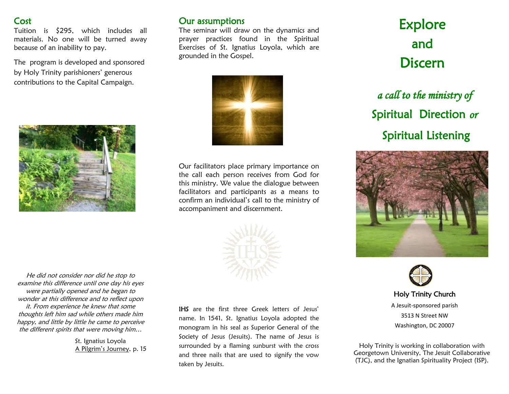#### Cost

Tuition is \$295, which includes all materials. No one will be turned away because of an inability to pay.

The program is developed and sponsored by Holy Trinity parishioners' generous contributions to the Capital Campaign.



#### Our assumptions

The seminar will draw on the dynamics and prayer practices found in the Spiritual Exercises of St. Ignatius Loyola, which are grounded in the Gospel.



Our facilitators place primary importance on the call each person receives from God for this ministry. We value the dialogue between facilitators and participants as a means to confirm an individual's call to the ministry of accompaniment and discernment.



He did not consider nor did he stop to examine this difference until one day his eyes were partially opened and he began to wonder at this difference and to reflect upon it. From experience he knew that some thoughts left him sad while others made him happy, and little by little he came to perceive the different spirits that were moving him…

> St. Ignatius Loyola A Pilgrim's Journey, p. 15

IHS are the first three Greek letters of Jesus' name. In 1541, St. Ignatius Loyola adopted the monogram in his seal as Superior General of the Society of Jesus (Jesuits). The name of Jesus is surrounded by a flaming sunburst with the cross and three nails that are used to signify the vow taken by Jesuits.

# Explore and Discern

*a call to the ministry of*  Spiritual Direction *or*  Spiritual Listening





Holy Trinity Church A Jesuit-sponsored parish 3513 N Street NW Washington, DC 20007

Holy Trinity is working in collaboration with Georgetown University, The Jesuit Collaborative (TJC), and the Ignatian Spirituality Project (ISP).